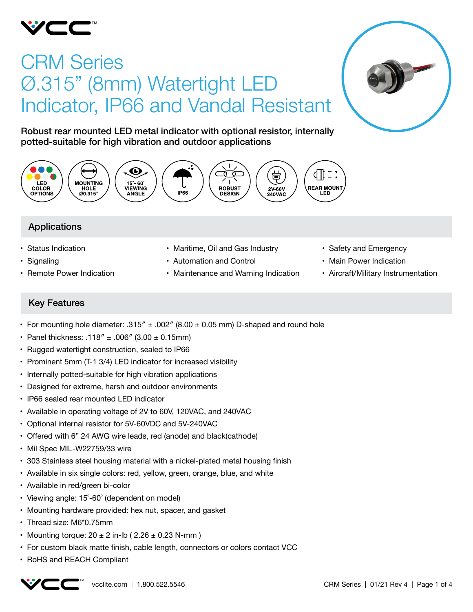

# CRM Series Ø.315" (8mm) Watertight LED Indicator, IP66 and Vandal Resistant



Robust rear mounted LED metal indicator with optional resistor, internally potted-suitable for high vibration and outdoor applications



# Applications

- • Status Indication
- Signaling
- Remote Power Indication
- Maritime, Oil and Gas Industry
- • Automation and Control
- Maintenance and Warning Indication
- Safety and Emergency
- Main Power Indication
- • Aircraft/Military Instrumentation

# Key Features

- For mounting hole diameter:  $.315'' \pm .002''$  (8.00  $\pm$  0.05 mm) D-shaped and round hole
- Panel thickness: .118"  $\pm$  .006" (3.00  $\pm$  0.15mm)
- Rugged watertight construction, sealed to IP66
- Prominent 5mm (T-1 3/4) LED indicator for increased visibility
- Internally potted-suitable for high vibration applications
- Designed for extreme, harsh and outdoor environments
- IP66 sealed rear mounted LED indicator
- Available in operating voltage of 2V to 60V, 120VAC, and 240VAC
- • Optional internal resistor for 5V-60VDC and 5V-240VAC
- Offered with 6" 24 AWG wire leads, red (anode) and black(cathode)
- Mil Spec MIL-W22759/33 wire
- • 303 Stainless steel housing material with a nickel-plated metal housing finish
- Available in six single colors: red, yellow, green, orange, blue, and white
- Available in red/green bi-color
- Viewing angle: 15°-60° (dependent on model)
- Mounting hardware provided: hex nut, spacer, and gasket
- Thread size: M6\*0.75mm
- Mounting torque:  $20 \pm 2$  in-lb (  $2.26 \pm 0.23$  N-mm )
- For custom black matte finish, cable length, connectors or colors contact VCC
- • RoHS and REACH Compliant

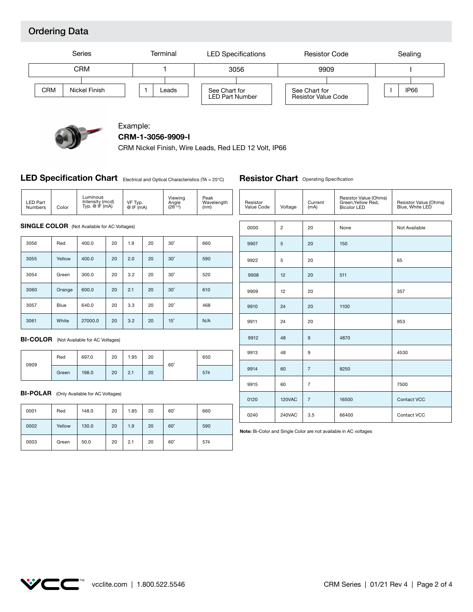# Ordering Data





### Example: **CRM-1-3056-9909-I**

CRM Nickel Finish, Wire Leads, Red LED 12 Volt, IP66

### LED Specification Chart Electrical and Optical Characteristics (TA = 25°C)

### **Resistor Chart** Operating Specification

| <b>LED Part</b><br><b>Numbers</b>                | Color                                               | Luminous<br>Intensity (mcd)<br>Typ. @ IF (mA) |    | VF Typ.<br>$@$ IF $(mA)$ |      | Viewing<br>Angle<br>$(2\theta^{1/2})$ | Peak<br>Wavelength<br>(nm) | Resistor<br>Value Code | Voltage            | Current<br>(mA) | Resistor Value (Ohms)<br>Green, Yellow Red,<br><b>Bicolor LED</b> | Resistor Value (Ohms)<br>Blue, White LED |
|--------------------------------------------------|-----------------------------------------------------|-----------------------------------------------|----|--------------------------|------|---------------------------------------|----------------------------|------------------------|--------------------|-----------------|-------------------------------------------------------------------|------------------------------------------|
|                                                  |                                                     |                                               |    |                          |      |                                       |                            |                        |                    |                 |                                                                   |                                          |
|                                                  | <b>SINGLE COLOR</b> (Not Available for AC Voltages) |                                               |    |                          |      |                                       |                            | 0000                   | $\overline{2}$     | 20              | None                                                              | Not Available                            |
| 3056                                             | Red                                                 | 400.0                                         | 20 | 1.9                      | 20   | $30^\circ$                            | 660                        | 9907                   | 5                  | 20              | 150                                                               |                                          |
| 3055                                             | Yellow                                              | 400.0                                         | 20 | 2.0                      | 20   | $30^\circ$                            | 590                        | 9922                   | 5                  | 20              |                                                                   | 65                                       |
| 3054                                             | Green                                               | 300.0                                         | 20 | 3.2                      | 20   | $30^\circ$                            | 520                        | 9908                   | 12                 | 20              | 511                                                               |                                          |
| 3060                                             | Orange                                              | 600.0                                         | 20 | 2.1                      | 20   | $30^\circ$                            | 610                        | 9909                   | 12                 | 20              |                                                                   | 357                                      |
| 3057                                             | Blue                                                | 640.0                                         | 20 | 3.3                      | 20   | $20^\circ$                            | 468                        | 9910                   | 24                 | 20              | 1100                                                              |                                          |
| 3061                                             | White                                               | 27000.0                                       | 20 | 3.2                      | 20   | $15^\circ$                            | N/A                        | 9911                   | 24                 | 20              |                                                                   | 953                                      |
| <b>BI-COLOR</b> (Not Available for AC Voltages)  |                                                     |                                               |    |                          |      | 9912                                  | 48                         | 9                      | 4870               |                 |                                                                   |                                          |
|                                                  | Red                                                 | 697.0                                         | 20 | 1.95                     | 20   |                                       | 650                        | 9913                   | 48                 | 9               |                                                                   | 4530                                     |
| 0909                                             | Green                                               | 198.0                                         | 20 | 2.1                      | 20   | $60^\circ$                            | 574                        | 9914                   | 60                 | $\overline{7}$  | 8250                                                              |                                          |
|                                                  |                                                     |                                               |    |                          |      |                                       |                            | 9915                   | 60                 | $\overline{7}$  |                                                                   | 7500                                     |
| <b>BI-POLAR</b> (Only Available for AC Voltages) |                                                     |                                               |    |                          | 0120 | <b>120VAC</b>                         | $\overline{7}$             | 16500                  | <b>Contact VCC</b> |                 |                                                                   |                                          |
| 0001                                             | Red                                                 | 148.0                                         | 20 | 1.85                     | 20   | $60^\circ$                            | 660                        | 0240                   | 240VAC             | 3.5             | 66400                                                             | Contact VCC                              |
|                                                  |                                                     |                                               |    |                          |      |                                       |                            |                        |                    |                 |                                                                   |                                          |

**Note:** Bi-Color and Single Color are not available in AC voltages

| 0001 | Red    | 148.0 | 20 | 1.85 | 20 | $60^\circ$ | 660 |
|------|--------|-------|----|------|----|------------|-----|
| 0002 | Yellow | 130.0 | 20 | 1.9  | 20 | $60^\circ$ | 590 |
| 0003 | Green  | 50.0  | 20 | 2.1  | 20 | $60^\circ$ | 574 |

# **VCC"**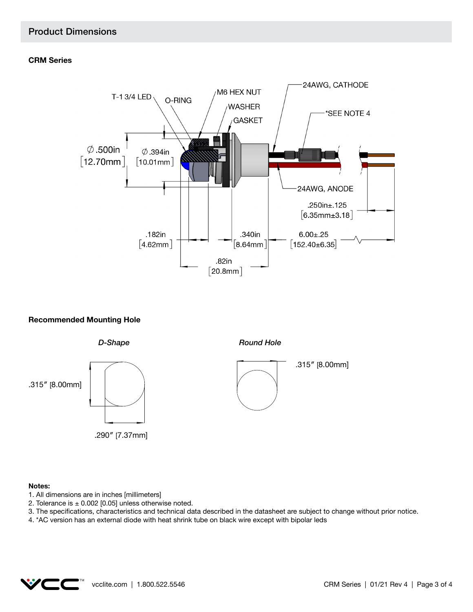### **CRM Series**



### **Recommended Mounting Hole**



#### **Notes:**

- 1. All dimensions are in inches [millimeters]
- 2. Tolerance is  $\pm$  0.002 [0.05] unless otherwise noted.
- 3. The specifications, characteristics and technical data described in the datasheet are subject to change without prior notice.
- 4. \*AC version has an external diode with heat shrink tube on black wire except with bipolar leds